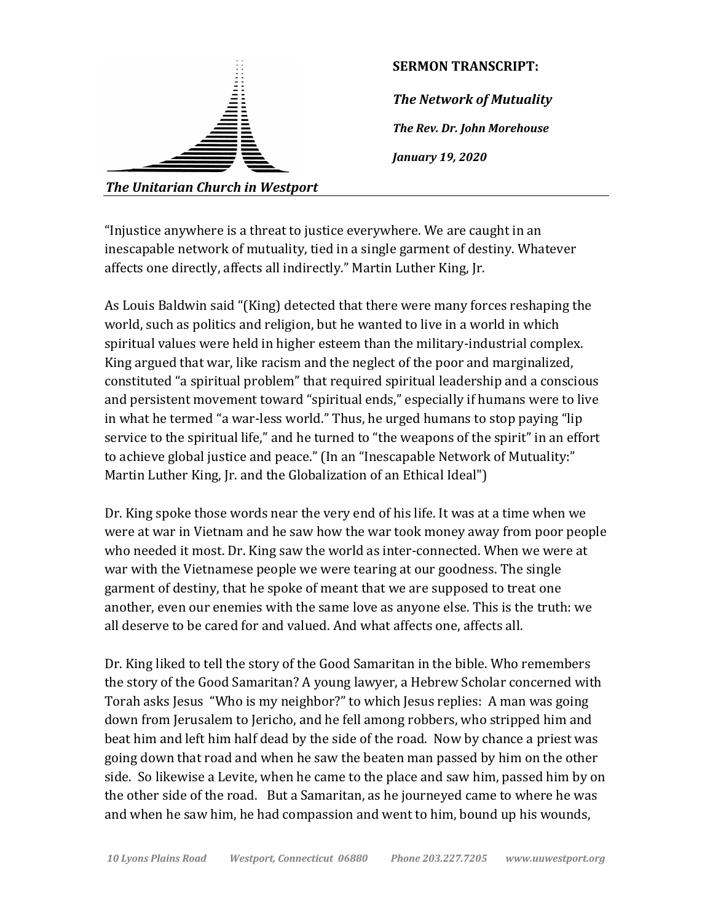

"Injustice anywhere is a threat to justice everywhere. We are caught in an inescapable network of mutuality, tied in a single garment of destiny. Whatever affects one directly, affects all indirectly." Martin Luther King, Jr.

As Louis Baldwin said "(King) detected that there were many forces reshaping the world, such as politics and religion, but he wanted to live in a world in which spiritual values were held in higher esteem than the military-industrial complex. King argued that war, like racism and the neglect of the poor and marginalized, constituted "a spiritual problem" that required spiritual leadership and a conscious and persistent movement toward "spiritual ends," especially if humans were to live in what he termed "a war-less world." Thus, he urged humans to stop paying "lip service to the spiritual life," and he turned to "the weapons of the spirit" in an effort to achieve global justice and peace." (In an "Inescapable Network of Mutuality:" Martin Luther King, Ir. and the Globalization of an Ethical Ideal")

Dr. King spoke those words near the very end of his life. It was at a time when we were at war in Vietnam and he saw how the war took money away from poor people who needed it most. Dr. King saw the world as inter-connected. When we were at war with the Vietnamese people we were tearing at our goodness. The single garment of destiny, that he spoke of meant that we are supposed to treat one another, even our enemies with the same love as anyone else. This is the truth: we all deserve to be cared for and valued. And what affects one, affects all.

Dr. King liked to tell the story of the Good Samaritan in the bible. Who remembers the story of the Good Samaritan? A young lawyer, a Hebrew Scholar concerned with Torah asks Jesus "Who is my neighbor?" to which Jesus replies: A man was going down from Jerusalem to Jericho, and he fell among robbers, who stripped him and beat him and left him half dead by the side of the road. Now by chance a priest was going down that road and when he saw the beaten man passed by him on the other side. So likewise a Levite, when he came to the place and saw him, passed him by on the other side of the road. But a Samaritan, as he journeyed came to where he was and when he saw him, he had compassion and went to him, bound up his wounds,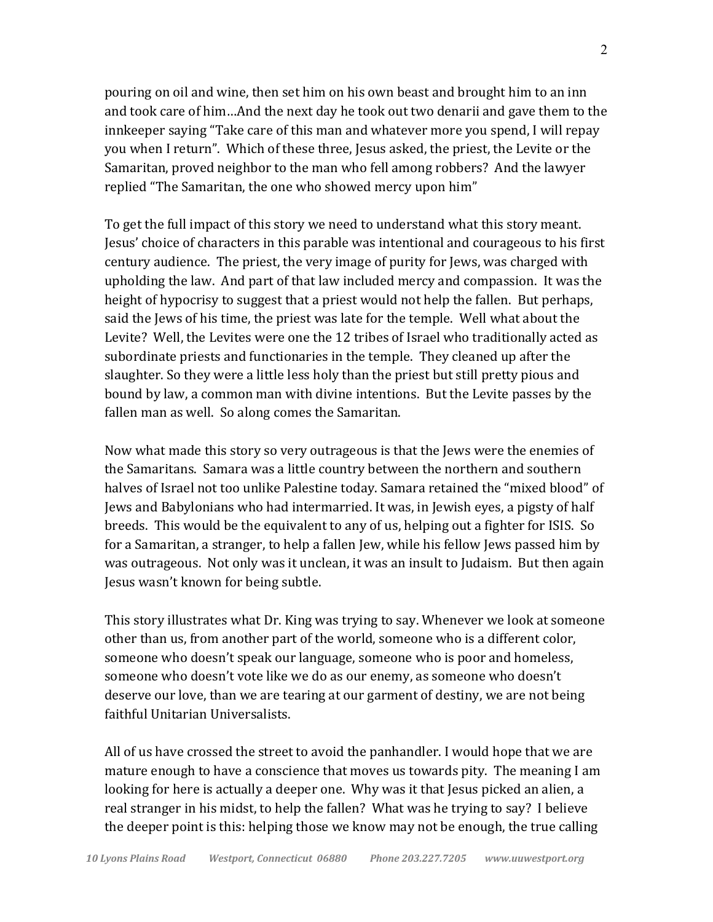pouring on oil and wine, then set him on his own beast and brought him to an inn and took care of him...And the next day he took out two denarii and gave them to the innkeeper saying "Take care of this man and whatever more you spend, I will repay you when I return". Which of these three, Jesus asked, the priest, the Levite or the Samaritan, proved neighbor to the man who fell among robbers? And the lawyer replied "The Samaritan, the one who showed mercy upon him"

To get the full impact of this story we need to understand what this story meant. Jesus' choice of characters in this parable was intentional and courageous to his first century audience. The priest, the very image of purity for Jews, was charged with upholding the law. And part of that law included mercy and compassion. It was the height of hypocrisy to suggest that a priest would not help the fallen. But perhaps, said the Jews of his time, the priest was late for the temple. Well what about the Levite? Well, the Levites were one the 12 tribes of Israel who traditionally acted as subordinate priests and functionaries in the temple. They cleaned up after the slaughter. So they were a little less holy than the priest but still pretty pious and bound by law, a common man with divine intentions. But the Levite passes by the fallen man as well. So along comes the Samaritan.

Now what made this story so very outrageous is that the Jews were the enemies of the Samaritans. Samara was a little country between the northern and southern halves of Israel not too unlike Palestine today. Samara retained the "mixed blood" of Jews and Babylonians who had intermarried. It was, in Jewish eyes, a pigsty of half breeds. This would be the equivalent to any of us, helping out a fighter for ISIS. So for a Samaritan, a stranger, to help a fallen Jew, while his fellow Jews passed him by was outrageous. Not only was it unclean, it was an insult to Judaism. But then again Jesus wasn't known for being subtle.

This story illustrates what Dr. King was trying to say. Whenever we look at someone other than us, from another part of the world, someone who is a different color, someone who doesn't speak our language, someone who is poor and homeless, someone who doesn't vote like we do as our enemy, as someone who doesn't deserve our love, than we are tearing at our garment of destiny, we are not being faithful Unitarian Universalists.

All of us have crossed the street to avoid the panhandler. I would hope that we are mature enough to have a conscience that moves us towards pity. The meaning I am looking for here is actually a deeper one. Why was it that Jesus picked an alien, a real stranger in his midst, to help the fallen? What was he trying to say? I believe the deeper point is this: helping those we know may not be enough, the true calling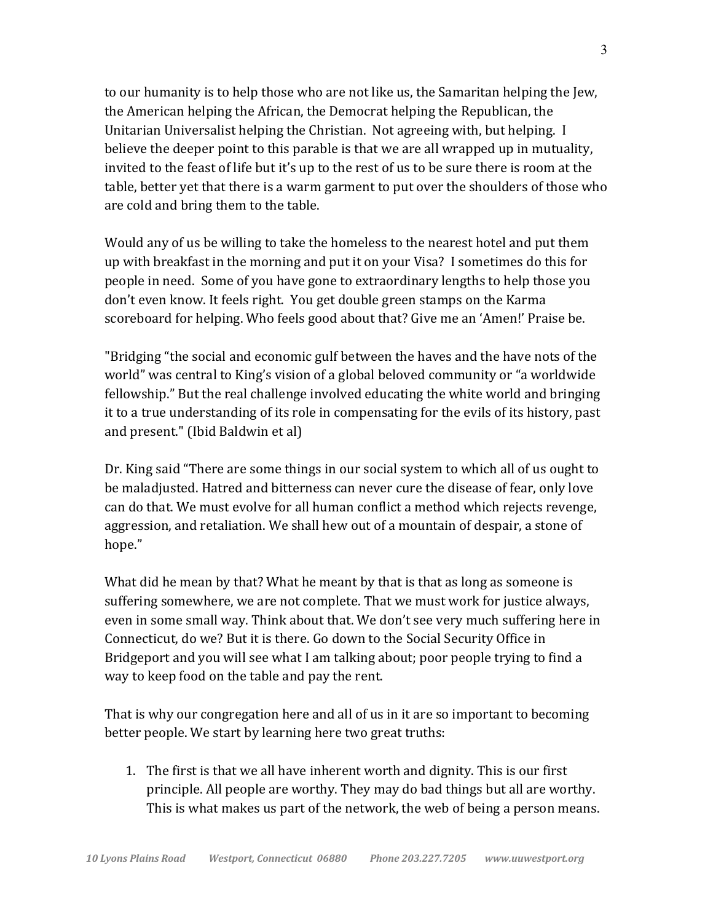to our humanity is to help those who are not like us, the Samaritan helping the Jew, the American helping the African, the Democrat helping the Republican, the Unitarian Universalist helping the Christian. Not agreeing with, but helping. I believe the deeper point to this parable is that we are all wrapped up in mutuality, invited to the feast of life but it's up to the rest of us to be sure there is room at the table, better yet that there is a warm garment to put over the shoulders of those who are cold and bring them to the table.

Would any of us be willing to take the homeless to the nearest hotel and put them up with breakfast in the morning and put it on your Visa? I sometimes do this for people in need. Some of you have gone to extraordinary lengths to help those you don't even know. It feels right. You get double green stamps on the Karma scoreboard for helping. Who feels good about that? Give me an 'Amen!' Praise be.

"Bridging "the social and economic gulf between the haves and the have nots of the world" was central to King's vision of a global beloved community or "a worldwide fellowship." But the real challenge involved educating the white world and bringing it to a true understanding of its role in compensating for the evils of its history, past and present." (Ibid Baldwin et al)

Dr. King said "There are some things in our social system to which all of us ought to be maladjusted. Hatred and bitterness can never cure the disease of fear, only love can do that. We must evolve for all human conflict a method which rejects revenge, aggression, and retaliation. We shall hew out of a mountain of despair, a stone of hope."

What did he mean by that? What he meant by that is that as long as someone is suffering somewhere, we are not complete. That we must work for justice always, even in some small way. Think about that. We don't see very much suffering here in Connecticut, do we? But it is there. Go down to the Social Security Office in Bridgeport and you will see what I am talking about; poor people trying to find a way to keep food on the table and pay the rent.

That is why our congregation here and all of us in it are so important to becoming better people. We start by learning here two great truths:

1. The first is that we all have inherent worth and dignity. This is our first principle. All people are worthy. They may do bad things but all are worthy. This is what makes us part of the network, the web of being a person means.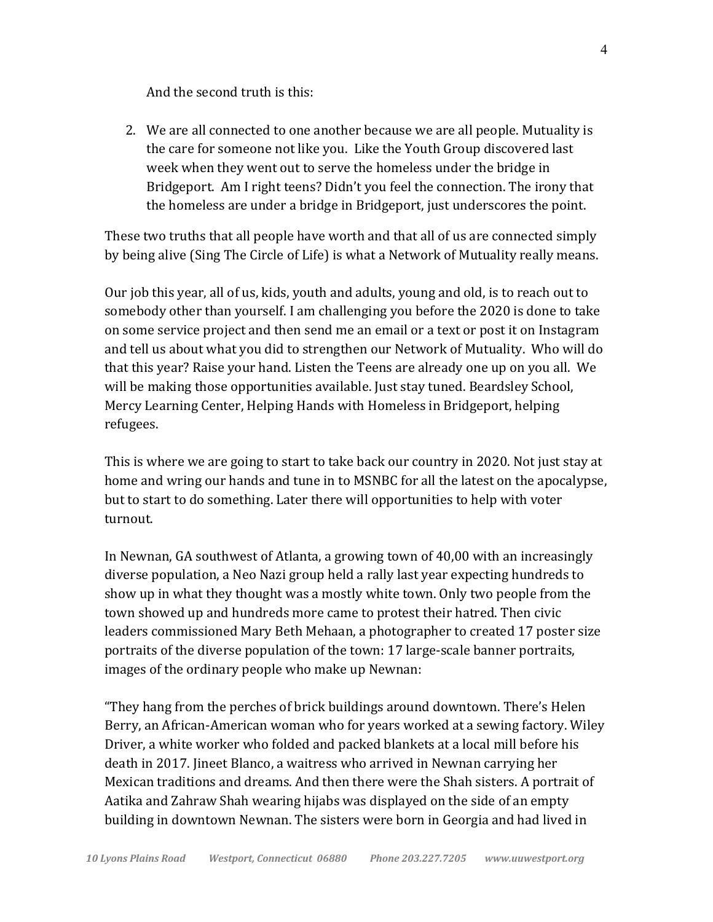And the second truth is this:

2. We are all connected to one another because we are all people. Mutuality is the care for someone not like you. Like the Youth Group discovered last week when they went out to serve the homeless under the bridge in Bridgeport. Am I right teens? Didn't you feel the connection. The irony that the homeless are under a bridge in Bridgeport, just underscores the point.

These two truths that all people have worth and that all of us are connected simply by being alive (Sing The Circle of Life) is what a Network of Mutuality really means.

Our job this year, all of us, kids, youth and adults, young and old, is to reach out to somebody other than yourself. I am challenging you before the 2020 is done to take on some service project and then send me an email or a text or post it on Instagram and tell us about what you did to strengthen our Network of Mutuality. Who will do that this year? Raise your hand. Listen the Teens are already one up on you all. We will be making those opportunities available. Just stay tuned. Beardsley School, Mercy Learning Center, Helping Hands with Homeless in Bridgeport, helping refugees.

This is where we are going to start to take back our country in 2020. Not just stay at home and wring our hands and tune in to MSNBC for all the latest on the apocalypse, but to start to do something. Later there will opportunities to help with voter turnout.

In Newnan, GA southwest of Atlanta, a growing town of 40,00 with an increasingly diverse population, a Neo Nazi group held a rally last year expecting hundreds to show up in what they thought was a mostly white town. Only two people from the town showed up and hundreds more came to protest their hatred. Then civic leaders commissioned Mary Beth Mehaan, a photographer to created 17 poster size portraits of the diverse population of the town: 17 large-scale banner portraits, images of the ordinary people who make up Newnan:

"They hang from the perches of brick buildings around downtown. There's Helen Berry, an African-American woman who for years worked at a sewing factory. Wiley Driver, a white worker who folded and packed blankets at a local mill before his death in 2017. Jineet Blanco, a waitress who arrived in Newnan carrying her Mexican traditions and dreams. And then there were the Shah sisters. A portrait of Aatika and Zahraw Shah wearing hijabs was displayed on the side of an empty building in downtown Newnan. The sisters were born in Georgia and had lived in